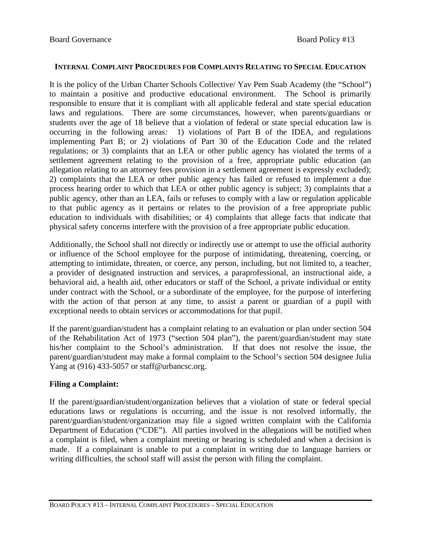## **INTERNAL COMPLAINT PROCEDURES FOR COMPLAINTS RELATING TO SPECIAL EDUCATION**

It is the policy of the Urban Charter Schools Collective/ Yav Pem Suab Academy (the "School") to maintain a positive and productive educational environment. The School is primarily responsible to ensure that it is compliant with all applicable federal and state special education laws and regulations. There are some circumstances, however, when parents/guardians or students over the age of 18 believe that a violation of federal or state special education law is occurring in the following areas*:* 1) violations of Part B of the IDEA, and regulations implementing Part B; or 2) violations of Part 30 of the Education Code and the related regulations; or 3) complaints that an LEA or other public agency has violated the terms of a settlement agreement relating to the provision of a free, appropriate public education (an allegation relating to an attorney fees provision in a settlement agreement is expressly excluded); 2) complaints that the LEA or other public agency has failed or refused to implement a due process hearing order to which that LEA or other public agency is subject; 3) complaints that a public agency, other than an LEA, fails or refuses to comply with a law or regulation applicable to that public agency as it pertains or relates to the provision of a free appropriate public education to individuals with disabilities; or 4) complaints that allege facts that indicate that physical safety concerns interfere with the provision of a free appropriate public education.

Additionally, the School shall not directly or indirectly use or attempt to use the official authority or influence of the School employee for the purpose of intimidating, threatening, coercing, or attempting to intimidate, threaten, or coerce, any person, including, but not limited to, a teacher, a provider of designated instruction and services, a paraprofessional, an instructional aide, a behavioral aid, a health aid, other educators or staff of the School, a private individual or entity under contract with the School, or a subordinate of the employee, for the purpose of interfering with the action of that person at any time, to assist a parent or guardian of a pupil with exceptional needs to obtain services or accommodations for that pupil.

If the parent/guardian/student has a complaint relating to an evaluation or plan under section 504 of the Rehabilitation Act of 1973 ("section 504 plan"), the parent/guardian/student may state his/her complaint to the School's administration. If that does not resolve the issue, the parent/guardian/student may make a formal complaint to the School's section 504 designee Julia Yang at (916) 433-5057 or staff@urbancsc.org.

## **Filing a Complaint:**

If the parent/guardian/student/organization believes that a violation of state or federal special educations laws or regulations is occurring, and the issue is not resolved informally, the parent/guardian/student/organization may file a signed written complaint with the California Department of Education ("CDE"). All parties involved in the allegations will be notified when a complaint is filed, when a complaint meeting or hearing is scheduled and when a decision is made. If a complainant is unable to put a complaint in writing due to language barriers or writing difficulties, the school staff will assist the person with filing the complaint.